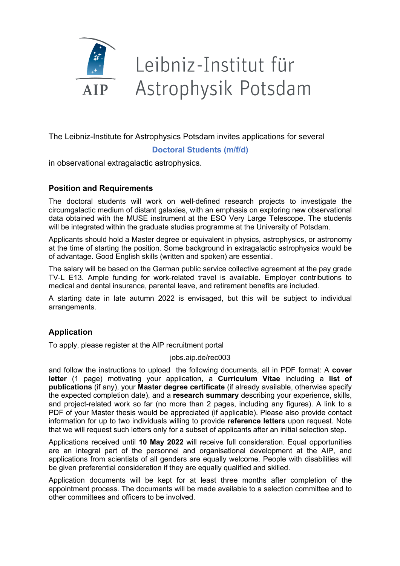

# Leibniz-Institut für Astrophysik Potsdam

The Leibniz-Institute for Astrophysics Potsdam invites applications for several

## **Doctoral Students (m/f/d)**

in observational extragalactic astrophysics.

## **Position and Requirements**

The doctoral students will work on well-defined research projects to investigate the circumgalactic medium of distant galaxies, with an emphasis on exploring new observational data obtained with the MUSE instrument at the ESO Very Large Telescope. The students will be integrated within the graduate studies programme at the University of Potsdam.

Applicants should hold a Master degree or equivalent in physics, astrophysics, or astronomy at the time of starting the position. Some background in extragalactic astrophysics would be of advantage. Good English skills (written and spoken) are essential.

The salary will be based on the German public service collective agreement at the pay grade TV-L E13. Ample funding for work-related travel is available. Employer contributions to medical and dental insurance, parental leave, and retirement benefits are included.

A starting date in late autumn 2022 is envisaged, but this will be subject to individual arrangements.

# **Application**

To apply, please register at the AIP recruitment portal

#### jobs.aip.de/rec003

and follow the instructions to upload the following documents, all in PDF format: A **cover letter** (1 page) motivating your application, a **Curriculum Vitae** including a **list of publications** (if any), your **Master degree certificate** (if already available, otherwise specify the expected completion date), and a **research summary** describing your experience, skills, and project-related work so far (no more than 2 pages, including any figures). A link to a PDF of your Master thesis would be appreciated (if applicable). Please also provide contact information for up to two individuals willing to provide **reference letters** upon request. Note that we will request such letters only for a subset of applicants after an initial selection step.

Applications received until **10 May 2022** will receive full consideration. Equal opportunities are an integral part of the personnel and organisational development at the AIP, and applications from scientists of all genders are equally welcome. People with disabilities will be given preferential consideration if they are equally qualified and skilled.

Application documents will be kept for at least three months after completion of the appointment process. The documents will be made available to a selection committee and to other committees and officers to be involved.